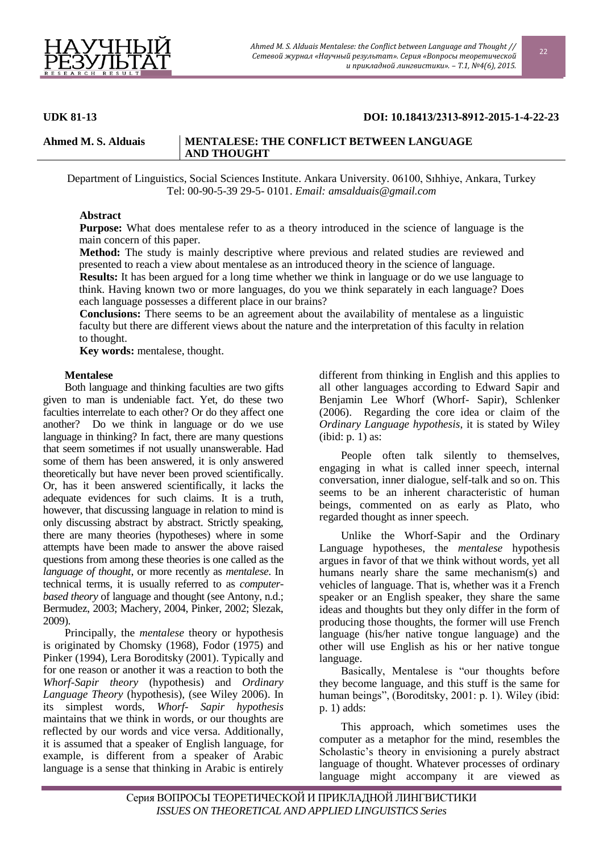

# **UDK 81-13 DOI: 10.18413/2313-8912-2015-1-4-22-23**

#### **Ahmed M. S. Alduais MENTALESE: THE CONFLICT BETWEEN LANGUAGE AND THOUGHT**

Department of Linguistics, Social Sciences Institute. Ankara University. 06100, Sıhhiye, Ankara, Turkey Tel: 00-90-5-39 29-5- 0101. *Email: [amsalduais@gmail.com](mailto:amsalduais@gmail.com)*

### **Abstract**

**Purpose:** What does mentalese refer to as a theory introduced in the science of language is the main concern of this paper.

**Method:** The study is mainly descriptive where previous and related studies are reviewed and presented to reach a view about mentalese as an introduced theory in the science of language.

**Results:** It has been argued for a long time whether we think in language or do we use language to think. Having known two or more languages, do you we think separately in each language? Does each language possesses a different place in our brains?

**Conclusions:** There seems to be an agreement about the availability of mentalese as a linguistic faculty but there are different views about the nature and the interpretation of this faculty in relation to thought.

**Key words:** mentalese, thought.

#### **Mentalese**

Both language and thinking faculties are two gifts given to man is undeniable fact. Yet, do these two faculties interrelate to each other? Or do they affect one another? Do we think in language or do we use language in thinking? In fact, there are many questions that seem sometimes if not usually unanswerable. Had some of them has been answered, it is only answered theoretically but have never been proved scientifically. Or, has it been answered scientifically, it lacks the adequate evidences for such claims. It is a truth, however, that discussing language in relation to mind is only discussing abstract by abstract. Strictly speaking, there are many theories (hypotheses) where in some attempts have been made to answer the above raised questions from among these theories is one called as the *language of thought*, or more recently as *mentalese*. In technical terms, it is usually referred to as *computerbased theory* of language and thought (see Antony, n.d.; Bermudez, 2003; Machery, 2004, Pinker, 2002; Slezak, 2009).

Principally, the *mentalese* theory or hypothesis is originated by Chomsky (1968), Fodor (1975) and Pinker (1994), Lera Boroditsky (2001). Typically and for one reason or another it was a reaction to both the *Whorf-Sapir theory* (hypothesis) and *Ordinary Language Theory* (hypothesis), (see Wiley 2006). In its simplest words, *Whorf- Sapir hypothesis* maintains that we think in words, or our thoughts are reflected by our words and vice versa. Additionally, it is assumed that a speaker of English language, for example, is different from a speaker of Arabic language is a sense that thinking in Arabic is entirely different from thinking in English and this applies to all other languages according to Edward Sapir and Benjamin Lee Whorf (Whorf- Sapir), Schlenker (2006). Regarding the core idea or claim of the *Ordinary Language hypothesis*, it is stated by Wiley (ibid: p. 1) as:

People often talk silently to themselves, engaging in what is called inner speech, internal conversation, inner dialogue, self-talk and so on. This seems to be an inherent characteristic of human beings, commented on as early as Plato, who regarded thought as inner speech.

Unlike the Whorf-Sapir and the Ordinary Language hypotheses, the *mentalese* hypothesis argues in favor of that we think without words, yet all humans nearly share the same mechanism(s) and vehicles of language. That is, whether was it a French speaker or an English speaker, they share the same ideas and thoughts but they only differ in the form of producing those thoughts, the former will use French language (his/her native tongue language) and the other will use English as his or her native tongue language.

Basically, Mentalese is "our thoughts before they become language, and this stuff is the same for human beings", (Boroditsky, 2001: p. 1). Wiley (ibid: p. 1) adds:

This approach, which sometimes uses the computer as a metaphor for the mind, resembles the Scholastic's theory in envisioning a purely abstract language of thought. Whatever processes of ordinary language might accompany it are viewed as